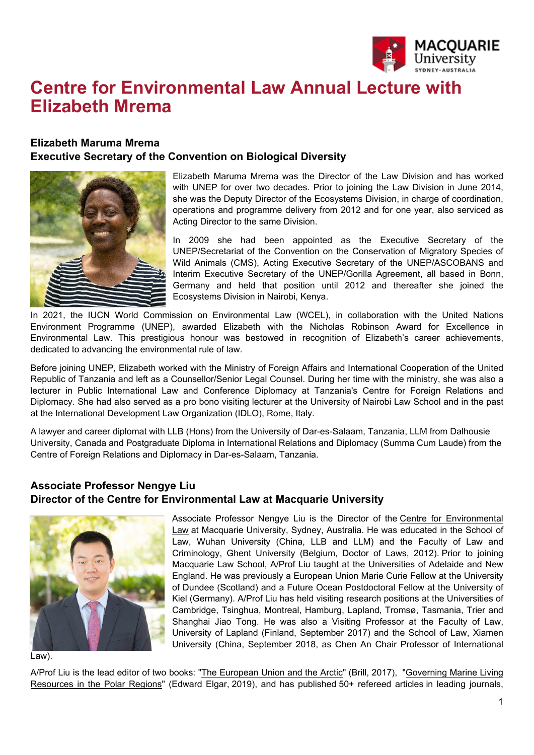

## **Centre for Environmental Law Annual Lecture with Elizabeth Mrema**

## **Elizabeth Maruma Mrema Executive Secretary of the Convention on Biological Diversity**



Elizabeth Maruma Mrema was the Director of the Law Division and has worked with UNEP for over two decades. Prior to joining the Law Division in June 2014, she was the Deputy Director of the Ecosystems Division, in charge of coordination, operations and programme delivery from 2012 and for one year, also serviced as Acting Director to the same Division.

In 2009 she had been appointed as the Executive Secretary of the UNEP/Secretariat of the Convention on the Conservation of Migratory Species of Wild Animals (CMS), Acting Executive Secretary of the UNEP/ASCOBANS and Interim Executive Secretary of the UNEP/Gorilla Agreement, all based in Bonn, Germany and held that position until 2012 and thereafter she joined the Ecosystems Division in Nairobi, Kenya.

In 2021, the IUCN World Commission on Environmental Law (WCEL), in collaboration with the United Nations Environment Programme (UNEP), awarded Elizabeth with the Nicholas Robinson Award for Excellence in Environmental Law. This prestigious honour was bestowed in recognition of Elizabeth's career achievements, dedicated to advancing the environmental rule of law.

Before joining UNEP, Elizabeth worked with the Ministry of Foreign Affairs and International Cooperation of the United Republic of Tanzania and left as a Counsellor/Senior Legal Counsel. During her time with the ministry, she was also a lecturer in Public International Law and Conference Diplomacy at Tanzania's Centre for Foreign Relations and Diplomacy. She had also served as a pro bono visiting lecturer at the University of Nairobi Law School and in the past at the International Development Law Organization (IDLO), Rome, Italy.

A lawyer and career diplomat with LLB (Hons) from the University of Dar-es-Salaam, Tanzania, LLM from Dalhousie University, Canada and Postgraduate Diploma in International Relations and Diplomacy (Summa Cum Laude) from the Centre of Foreign Relations and Diplomacy in Dar-es-Salaam, Tanzania.

## **Associate Professor Nengye Liu Director of the Centre for Environmental Law at Macquarie University**



Associate Professor Nengye Liu is the Director of the [Centre for Environmental](https://www.mq.edu.au/research/research-centres-groups-and-facilities/resilient-societies/centres/centre-for-environmental-law)  [Law](https://www.mq.edu.au/research/research-centres-groups-and-facilities/resilient-societies/centres/centre-for-environmental-law) at Macquarie University, Sydney, Australia. He was educated in the School of Law, Wuhan University (China, LLB and LLM) and the Faculty of Law and Criminology, Ghent University (Belgium, Doctor of Laws, 2012). Prior to joining Macquarie Law School, A/Prof Liu taught at the Universities of Adelaide and New England. He was previously a European Union Marie Curie Fellow at the University of Dundee (Scotland) and a Future Ocean Postdoctoral Fellow at the University of Kiel (Germany). A/Prof Liu has held visiting research positions at the Universities of Cambridge, Tsinghua, Montreal, Hamburg, Lapland, Tromsø, Tasmania, Trier and Shanghai Jiao Tong. He was also a Visiting Professor at the Faculty of Law, University of Lapland (Finland, September 2017) and the School of Law, Xiamen University (China, September 2018, as Chen An Chair Professor of International

Law).

A/Prof Liu is the lead editor of two books: ["The European Union and the Arctic"](https://brill.com/view/title/35091) (Brill, 2017), ["Governing Marine Living](https://www.e-elgar.com/shop/gbp/governing-marine-living-resources-in-the-polar-regions-9781788977425.html)  [Resources in the Polar Regions"](https://www.e-elgar.com/shop/gbp/governing-marine-living-resources-in-the-polar-regions-9781788977425.html) (Edward Elgar, 2019), and has published 50+ refereed articles in leading journals,